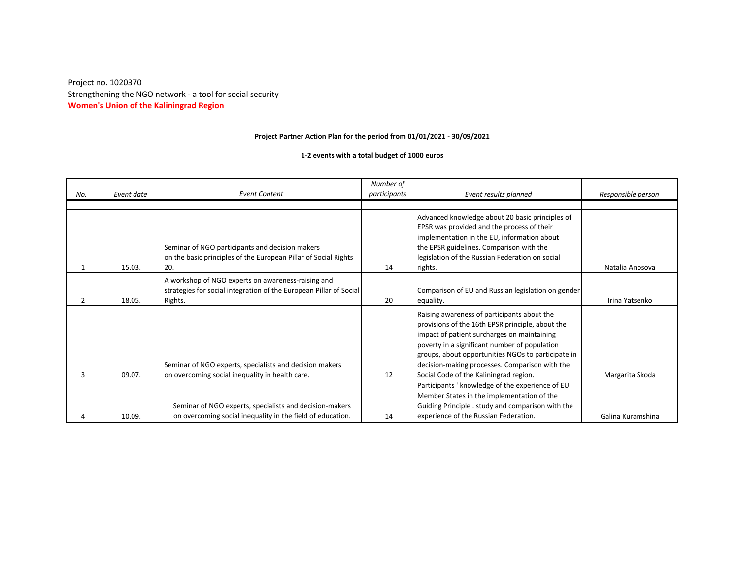**Women's Union of the Kaliningrad Region** Strengthening the NGO network - a tool for social security Project no. 1020370

## **Project Partner Action Plan for the period from 01/01/2021 - 30/09/2021**

**1-2 events with a total budget of 1000 euros**

| No. | Event date | <b>Event Content</b>                                                                                                                | Number of<br>participants | Event results planned                                                                                                                                                                                                                                                                                                                             | Responsible person |
|-----|------------|-------------------------------------------------------------------------------------------------------------------------------------|---------------------------|---------------------------------------------------------------------------------------------------------------------------------------------------------------------------------------------------------------------------------------------------------------------------------------------------------------------------------------------------|--------------------|
|     |            |                                                                                                                                     |                           |                                                                                                                                                                                                                                                                                                                                                   |                    |
|     | 15.03.     | Seminar of NGO participants and decision makers<br>on the basic principles of the European Pillar of Social Rights<br>20.           | 14                        | Advanced knowledge about 20 basic principles of<br>EPSR was provided and the process of their<br>implementation in the EU, information about<br>the EPSR guidelines. Comparison with the<br>legislation of the Russian Federation on social<br>rights.                                                                                            | Natalia Anosova    |
| 2   | 18.05.     | A workshop of NGO experts on awareness-raising and<br>strategies for social integration of the European Pillar of Social<br>Rights. | 20                        | Comparison of EU and Russian legislation on gender<br>equality.                                                                                                                                                                                                                                                                                   | Irina Yatsenko     |
| 3   | 09.07.     | Seminar of NGO experts, specialists and decision makers<br>on overcoming social inequality in health care.                          | 12                        | Raising awareness of participants about the<br>provisions of the 16th EPSR principle, about the<br>impact of patient surcharges on maintaining<br>poverty in a significant number of population<br>groups, about opportunities NGOs to participate in<br>decision-making processes. Comparison with the<br>Social Code of the Kaliningrad region. | Margarita Skoda    |
| 4   | 10.09.     | Seminar of NGO experts, specialists and decision-makers<br>on overcoming social inequality in the field of education.               | 14                        | Participants ' knowledge of the experience of EU<br>Member States in the implementation of the<br>Guiding Principle . study and comparison with the<br>experience of the Russian Federation.                                                                                                                                                      | Galina Kuramshina  |